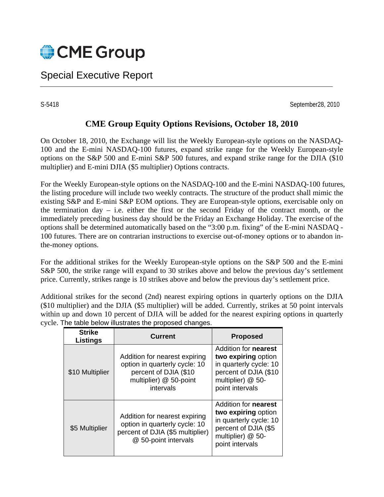

# Special Executive Report

S-5418 September28, 2010

# **CME Group Equity Options Revisions, October 18, 2010**

On October 18, 2010, the Exchange will list the Weekly European-style options on the NASDAQ-100 and the E-mini NASDAQ-100 futures, expand strike range for the Weekly European-style options on the S&P 500 and E-mini S&P 500 futures, and expand strike range for the DJIA (\$10 multiplier) and E-mini DJIA (\$5 multiplier) Options contracts.

For the Weekly European-style options on the NASDAQ-100 and the E-mini NASDAQ-100 futures, the listing procedure will include two weekly contracts. The structure of the product shall mimic the existing S&P and E-mini S&P EOM options. They are European-style options, exercisable only on the termination day  $-$  i.e. either the first or the second Friday of the contract month, or the immediately preceding business day should be the Friday an Exchange Holiday. The exercise of the options shall be determined automatically based on the "3:00 p.m. fixing" of the E-mini NASDAQ - 100 futures. There are on contrarian instructions to exercise out-of-money options or to abandon inthe-money options.

For the additional strikes for the Weekly European-style options on the S&P 500 and the E-mini S&P 500, the strike range will expand to 30 strikes above and below the previous day's settlement price. Currently, strikes range is 10 strikes above and below the previous day's settlement price.

Additional strikes for the second (2nd) nearest expiring options in quarterly options on the DJIA (\$10 multiplier) and the DJIA (\$5 multiplier) will be added. Currently, strikes at 50 point intervals within up and down 10 percent of DJIA will be added for the nearest expiring options in quarterly cycle. The table below illustrates the proposed changes.

| <b>Strike</b><br><b>Listings</b> | <b>Current</b>                                                                                                                 | <b>Proposed</b>                                                                                                                               |
|----------------------------------|--------------------------------------------------------------------------------------------------------------------------------|-----------------------------------------------------------------------------------------------------------------------------------------------|
| \$10 Multiplier                  | Addition for nearest expiring<br>option in quarterly cycle: 10<br>percent of DJIA (\$10<br>multiplier) @ 50-point<br>intervals | Addition for <b>nearest</b><br>two expiring option<br>in quarterly cycle: 10<br>percent of DJIA (\$10<br>multiplier) @ 50-<br>point intervals |
| \$5 Multiplier                   | Addition for nearest expiring<br>option in quarterly cycle: 10<br>percent of DJIA (\$5 multiplier)<br>@ 50-point intervals     | Addition for <b>nearest</b><br>two expiring option<br>in quarterly cycle: 10<br>percent of DJIA (\$5<br>multiplier) @ 50-<br>point intervals  |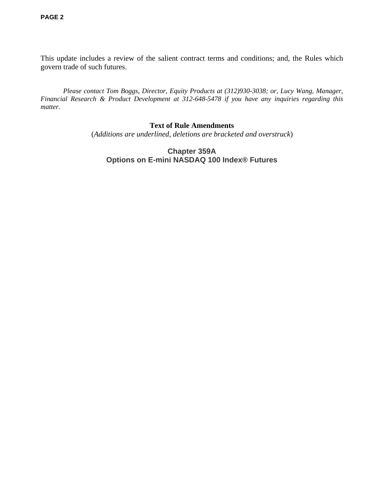This update includes a review of the salient contract terms and conditions; and, the Rules which govern trade of such futures.

*Please contact Tom Boggs, Director, Equity Products at (312)930-3038; or, Lucy Wang, Manager, Financial Research & Product Development at 312-648-5478 if you have any inquiries regarding this matter.* 

# **Text of Rule Amendments**

(*Additions are underlined, deletions are bracketed and overstruck*)

# **Chapter 359A Options on E-mini NASDAQ 100 Index® Futures**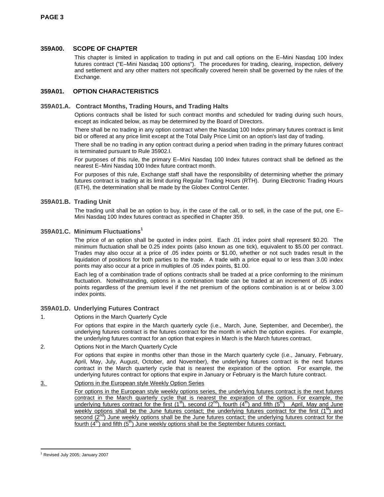# **359A00. SCOPE OF CHAPTER**

This chapter is limited in application to trading in put and call options on the E–Mini Nasdaq 100 Index futures contract ("E–Mini Nasdaq 100 options"). The procedures for trading, clearing, inspection, delivery and settlement and any other matters not specifically covered herein shall be governed by the rules of the Exchange.

# **359A01. OPTION CHARACTERISTICS**

## **359A01.A. Contract Months, Trading Hours, and Trading Halts**

Options contracts shall be listed for such contract months and scheduled for trading during such hours, except as indicated below, as may be determined by the Board of Directors.

There shall be no trading in any option contract when the Nasdaq 100 Index primary futures contract is limit bid or offered at any price limit except at the Total Daily Price Limit on an option's last day of trading.

There shall be no trading in any option contract during a period when trading in the primary futures contract is terminated pursuant to Rule 35902.I.

For purposes of this rule, the primary E–Mini Nasdaq 100 Index futures contract shall be defined as the nearest E–Mini Nasdaq 100 Index future contract month.

For purposes of this rule, Exchange staff shall have the responsibility of determining whether the primary futures contract is trading at its limit during Regular Trading Hours (RTH). During Electronic Trading Hours (ETH), the determination shall be made by the Globex Control Center.

### **359A01.B. Trading Unit**

The trading unit shall be an option to buy, in the case of the call, or to sell, in the case of the put, one E– Mini Nasdaq 100 Index futures contract as specified in Chapter 359.

# **359A01.C. Minimum Fluctuations1**

The price of an option shall be quoted in index point. Each .01 index point shall represent \$0.20. The minimum fluctuation shall be 0.25 index points (also known as one tick), equivalent to \$5.00 per contract. Trades may also occur at a price of .05 index points or \$1.00, whether or not such trades result in the liquidation of positions for both parties to the trade. A trade with a price equal to or less than 3.00 index points may also occur at a price in multiples of .05 index points, \$1.00.

Each leg of a combination trade of options contracts shall be traded at a price conforming to the minimum fluctuation. Notwithstanding, options in a combination trade can be traded at an increment of .05 index points regardless of the premium level if the net premium of the options combination is at or below 3.00 index points.

# **359A01.D. Underlying Futures Contract**

1. Options in the March Quarterly Cycle

For options that expire in the March quarterly cycle (i.e., March, June, September, and December), the underlying futures contract is the futures contract for the month in which the option expires. For example, the underlying futures contract for an option that expires in March is the March futures contract.

#### 2. Options Not in the March Quarterly Cycle

For options that expire in months other than those in the March quarterly cycle (i.e., January, February, April, May, July, August, October, and November), the underlying futures contract is the next futures contract in the March quarterly cycle that is nearest the expiration of the option. For example, the underlying futures contract for options that expire in January or February is the March future contract.

### 3. Options in the European style Weekly Option Series

For options in the European style weekly options series, the underlying futures contract is the next futures contract in the March quarterly cycle that is nearest the expiration of the option. For example, the underlying futures contract for the first (1<sup>st</sup>), second (2<sup>nd</sup>), fourth (4<sup>th</sup>) and fifth (5<sup>th</sup>) April, May and June weekly options shall be the June futures contact; the underlying futures contract for the first (1<sup>st</sup>) and second  $(2<sup>nd</sup>)$  June weekly options shall be the June futures contact; the underlying futures contract for the fourth  $(4^{th})$  and fifth  $(5^{th})$  June weekly options shall be the September futures contact.

l 1 Revised July 2005; January 2007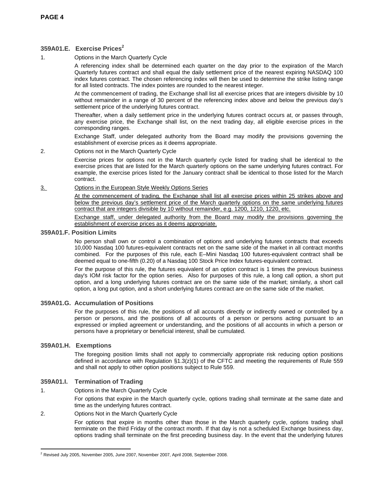# **359A01.E. Exercise Prices2**

1. Options in the March Quarterly Cycle

A referencing index shall be determined each quarter on the day prior to the expiration of the March Quarterly futures contract and shall equal the daily settlement price of the nearest expiring NASDAQ 100 index futures contract. The chosen referencing index will then be used to determine the strike listing range for all listed contracts. The index pointes are rounded to the nearest integer.

At the commencement of trading, the Exchange shall list all exercise prices that are integers divisible by 10 without remainder in a range of 30 percent of the referencing index above and below the previous day's settlement price of the underlying futures contract.

Thereafter, when a daily settlement price in the underlying futures contract occurs at, or passes through, any exercise price, the Exchange shall list, on the next trading day, all eligible exercise prices in the corresponding ranges.

Exchange Staff, under delegated authority from the Board may modify the provisions governing the establishment of exercise prices as it deems appropriate.

2. Options not in the March Quarterly Cycle

Exercise prices for options not in the March quarterly cycle listed for trading shall be identical to the exercise prices that are listed for the March quarterly options on the same underlying futures contract. For example, the exercise prices listed for the January contract shall be identical to those listed for the March contract.

#### 3. Options in the European Style Weekly Options Series

At the commencement of trading, the Exchange shall list all exercise prices within 25 strikes above and below the previous day's settlement price of the March quarterly options on the same underlying futures contract that are integers divisible by 10 without remainder, e.g. 1200, 1210, 1220, etc.

Exchange staff, under delegated authority from the Board may modify the provisions governing the establishment of exercise prices as it deems appropriate.

### **359A01.F. Position Limits**

No person shall own or control a combination of options and underlying futures contracts that exceeds 10,000 Nasdaq 100 futures-equivalent contracts net on the same side of the market in all contract months combined. For the purposes of this rule, each E–Mini Nasdaq 100 futures-equivalent contract shall be deemed equal to one-fifth (0.20) of a Nasdaq 100 Stock Price Index futures-equivalent contract.

For the purpose of this rule, the futures equivalent of an option contract is 1 times the previous business day's IOM risk factor for the option series. Also for purposes of this rule, a long call option, a short put option, and a long underlying futures contract are on the same side of the market; similarly, a short call option, a long put option, and a short underlying futures contract are on the same side of the market.

# **359A01.G. Accumulation of Positions**

For the purposes of this rule, the positions of all accounts directly or indirectly owned or controlled by a person or persons, and the positions of all accounts of a person or persons acting pursuant to an expressed or implied agreement or understanding, and the positions of all accounts in which a person or persons have a proprietary or beneficial interest, shall be cumulated.

#### **359A01.H. Exemptions**

The foregoing position limits shall not apply to commercially appropriate risk reducing option positions defined in accordance with Regulation  $\S1.3(z)(1)$  of the CFTC and meeting the requirements of Rule 559 and shall not apply to other option positions subject to Rule 559.

# **359A01.I. Termination of Trading**

1. Options in the March Quarterly Cycle

For options that expire in the March quarterly cycle, options trading shall terminate at the same date and time as the underlying futures contract.

# 2. Options Not in the March Quarterly Cycle

For options that expire in months other than those in the March quarterly cycle, options trading shall terminate on the third Friday of the contract month. If that day is not a scheduled Exchange business day, options trading shall terminate on the first preceding business day. In the event that the underlying futures

l  $2$  Revised July 2005, November 2005, June 2007, November 2007, April 2008, September 2008.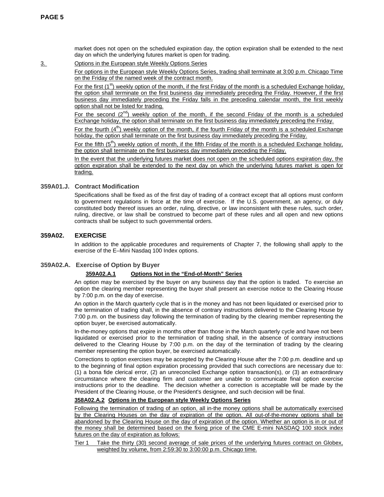market does not open on the scheduled expiration day, the option expiration shall be extended to the next day on which the underlying futures market is open for trading.

3. Options in the European style Weekly Options Series

For options in the European style Weekly Options Series, trading shall terminate at 3:00 p.m. Chicago Time on the Friday of the named week of the contract month.

For the first  $(1^{st})$  weekly option of the month, if the first Friday of the month is a scheduled Exchange holiday, the option shall terminate on the first business day immediately preceding the Friday. However, if the first business day immediately preceding the Friday falls in the preceding calendar month, the first weekly option shall not be listed for trading.

For the second  $(2^{nd})$  weekly option of the month, if the second Friday of the month is a scheduled Exchange holiday, the option shall terminate on the first business day immediately preceding the Friday.

For the fourth  $(4^{th})$  weekly option of the month, if the fourth Friday of the month is a scheduled Exchange holiday, the option shall terminate on the first business day immediately preceding the Friday.

For the fifth  $(5<sup>th</sup>)$  weekly option of month, if the fifth Friday of the month is a scheduled Exchange holiday, the option shall terminate on the first business day immediately preceding the Friday.

In the event that the underlying futures market does not open on the scheduled options expiration day, the option expiration shall be extended to the next day on which the underlying futures market is open for trading.

# **359A01.J. Contract Modification**

Specifications shall be fixed as of the first day of trading of a contract except that all options must conform to government regulations in force at the time of exercise. If the U.S. government, an agency, or duly constituted body thereof issues an order, ruling, directive, or law inconsistent with these rules, such order, ruling, directive, or law shall be construed to become part of these rules and all open and new options contracts shall be subject to such governmental orders.

# **359A02. EXERCISE**

In addition to the applicable procedures and requirements of Chapter 7, the following shall apply to the exercise of the E–Mini Nasdaq 100 Index options.

#### **359A02.A. Exercise of Option by Buyer**

#### **359A02.A.1 Options Not in the "End-of-Month" Series**

An option may be exercised by the buyer on any business day that the option is traded. To exercise an option the clearing member representing the buyer shall present an exercise notice to the Clearing House by 7:00 p.m. on the day of exercise.

An option in the March quarterly cycle that is in the money and has not been liquidated or exercised prior to the termination of trading shall, in the absence of contrary instructions delivered to the Clearing House by 7:00 p.m. on the business day following the termination of trading by the clearing member representing the option buyer, be exercised automatically.

In-the-money options that expire in months other than those in the March quarterly cycle and have not been liquidated or exercised prior to the termination of trading shall, in the absence of contrary instructions delivered to the Clearing House by 7:00 p.m. on the day of the termination of trading by the clearing member representing the option buyer, be exercised automatically.

Corrections to option exercises may be accepted by the Clearing House after the 7:00 p.m. deadline and up to the beginning of final option expiration processing provided that such corrections are necessary due to: (1) a bona fide clerical error, (2) an unreconciled Exchange option transaction(s), or (3) an extraordinary circumstance where the clearing firm and customer are unable to communicate final option exercise instructions prior to the deadline. The decision whether a correction is acceptable will be made by the President of the Clearing House, or the President's designee, and such decision will be final.

# **358A02.A.2 Options in the European style Weekly Options Series**

Following the termination of trading of an option, all in-the money options shall be automatically exercised by the Clearing Houses on the day of expiration of the option. All out-of-the-money options shall be abandoned by the Clearing House on the day of expiration of the option. Whether an option is in or out of the money shall be determined based on the fixing price of the CME E-mini NASDAQ 100 stock index futures on the day of expiration as follows:

Tier 1 Take the thirty (30) second average of sale prices of the underlying futures contract on Globex, weighted by volume, from 2:59:30 to 3:00:00 p.m. Chicago time.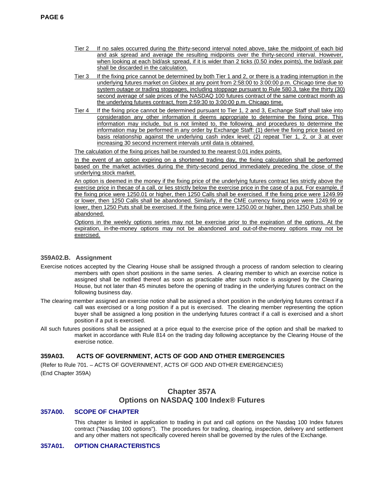- Tier 2 If no sales occurred during the thirty-second interval noted above, take the midpoint of each bid and ask spread and average the resulting midpoints over the thirty-second interval. However, when looking at each bid/ask spread, if it is wider than 2 ticks (0.50 index points), the bid/ask pair shall be discarded in the calculation.
- Tier 3 If the fixing price cannot be determined by both Tier 1 and 2, or there is a trading interruption in the underlying futures market on Globex at any point from 2:58:00 to 3:00:00 p.m. Chicago time due to system outage or trading stoppages, including stoppage pursuant to Rule 580.3, take the thirty (30) second average of sale prices of the NASDAQ 100 futures contract of the same contract month as the underlying futures contract, from 2:59:30 to 3:00:00 p.m. Chicago time.
- Tier 4 If the fixing price cannot be determined pursuant to Tier 1, 2 and 3, Exchange Staff shall take into consideration any other information it deems appropriate to determine the fixing price. This information may include, but is not limited to, the following, and procedures to determine the information may be performed in any order by Exchange Staff: (1) derive the fixing price based on basis relationship against the underlying cash index level; (2) repeat Tier 1, 2, or 3 at ever increasing 30 second increment intervals until data is obtained.

The calculation of the fixing prices hall be rounded to the nearest 0.01 index points.

In the event of an option expiring on a shortened trading day, the fixing calculation shall be performed based on the market activities during the thirty-second period immediately preceding the close of the underlying stock market.

An option is deemed in the money if the fixing price of the underlying futures contract lies strictly above the exercise price in thecae of a call, or lies strictly below the exercise price in the case of a put. For example, if the fixing price were 1250.01 or higher, then 1250 Calls shall be exercised. If the fixing price were 1249.99 or lower, then 1250 Calls shall be abandoned. Similarly, if the CME currency fixing price were 1249.99 or lower, then 1250 Puts shall be exercised. If the fixing price were 1250.00 or higher, then 1250 Puts shall be abandoned.

Options in the weekly options series may not be exercise prior to the expiration of the options. At the expiration, in-the-money options may not be abandoned and out-of-the-money options may not be exercised.

# **359A02.B. Assignment**

- Exercise notices accepted by the Clearing House shall be assigned through a process of random selection to clearing members with open short positions in the same series. A clearing member to which an exercise notice is assigned shall be notified thereof as soon as practicable after such notice is assigned by the Clearing House, but not later than 45 minutes before the opening of trading in the underlying futures contract on the following business day.
- The clearing member assigned an exercise notice shall be assigned a short position in the underlying futures contract if a call was exercised or a long position if a put is exercised. The clearing member representing the option buyer shall be assigned a long position in the underlying futures contract if a call is exercised and a short position if a put is exercised.
- All such futures positions shall be assigned at a price equal to the exercise price of the option and shall be marked to market in accordance with Rule 814 on the trading day following acceptance by the Clearing House of the exercise notice.

# **359A03. ACTS OF GOVERNMENT, ACTS OF GOD AND OTHER EMERGENCIES**

(Refer to Rule 701. – ACTS OF GOVERNMENT, ACTS OF GOD AND OTHER EMERGENCIES) (End Chapter 359A)

# **Chapter 357A Options on NASDAQ 100 Index® Futures**

# **357A00. SCOPE OF CHAPTER**

This chapter is limited in application to trading in put and call options on the Nasdaq 100 Index futures contract ("Nasdaq 100 options"). The procedures for trading, clearing, inspection, delivery and settlement and any other matters not specifically covered herein shall be governed by the rules of the Exchange.

# **357A01. OPTION CHARACTERISTICS**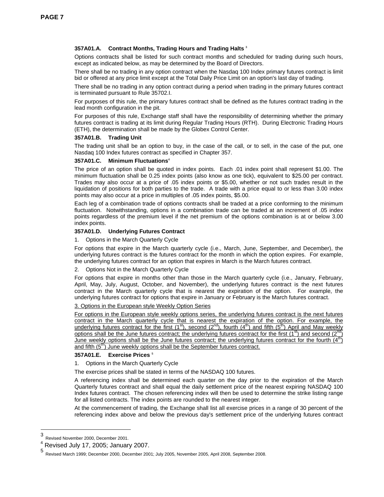# **357A01.A. Contract Months, Trading Hours and Trading Halts 3**

Options contracts shall be listed for such contract months and scheduled for trading during such hours, except as indicated below, as may be determined by the Board of Directors.

There shall be no trading in any option contract when the Nasdaq 100 Index primary futures contract is limit bid or offered at any price limit except at the Total Daily Price Limit on an option's last day of trading.

There shall be no trading in any option contract during a period when trading in the primary futures contract is terminated pursuant to Rule 35702.I.

For purposes of this rule, the primary futures contract shall be defined as the futures contract trading in the lead month configuration in the pit.

For purposes of this rule, Exchange staff shall have the responsibility of determining whether the primary futures contract is trading at its limit during Regular Trading Hours (RTH). During Electronic Trading Hours (ETH), the determination shall be made by the Globex Control Center.

#### **357A01.B. Trading Unit**

The trading unit shall be an option to buy, in the case of the call, or to sell, in the case of the put, one Nasdaq 100 Index futures contract as specified in Chapter 357.

#### **357A01.C. Minimum Fluctuations4**

The price of an option shall be quoted in index points. Each .01 index point shall represent \$1.00. The minimum fluctuation shall be 0.25 index points (also know as one tick), equivalent to \$25.00 per contract. Trades may also occur at a price of .05 index points or \$5.00, whether or not such trades result in the liquidation of positions for both parties to the trade. A trade with a price equal to or less than 3.00 index points may also occur at a price in multiples of .05 index points, \$5.00.

Each leg of a combination trade of options contracts shall be traded at a price conforming to the minimum fluctuation. Notwithstanding, options in a combination trade can be traded at an increment of .05 index points regardless of the premium level if the net premium of the options combination is at or below 3.00 index points.

#### **357A01.D. Underlying Futures Contract**

#### 1. Options in the March Quarterly Cycle

For options that expire in the March quarterly cycle (i.e., March, June, September, and December), the underlying futures contract is the futures contract for the month in which the option expires. For example, the underlying futures contract for an option that expires in March is the March futures contract.

2. Options Not in the March Quarterly Cycle

For options that expire in months other than those in the March quarterly cycle (i.e., January, February, April, May, July, August, October, and November), the underlying futures contract is the next futures contract in the March quarterly cycle that is nearest the expiration of the option. For example, the underlying futures contract for options that expire in January or February is the March futures contract.

#### 3. Options in the European style Weekly Option Series

For options in the European style weekly options series, the underlying futures contract is the next futures contract in the March quarterly cycle that is nearest the expiration of the option. For example, the underlying futures contract for the first (1<sup>st</sup>), second (2<sup>nd</sup>), fourth (4<sup>th</sup>) and fifth (5<sup>th</sup>) April and May weekly options shall be the June futures contract; the underlying futures contract for the first (1st) and second (2<sup>nd</sup>) June weekly options shall be the June futures contract; the underlying futures contract for the fourth  $(4<sup>th</sup>)$ and fifth  $(5<sup>th</sup>)$  June weekly options shall be the September futures contract.

#### **357A01.E. Exercise Prices 5**

#### 1. Options in the March Quarterly Cycle

The exercise prices shall be stated in terms of the NASDAQ 100 futures.

A referencing index shall be determined each quarter on the day prior to the expiration of the March Quarterly futures contract and shall equal the daily settlement price of the nearest expiring NASDAQ 100 Index futures contract. The chosen referencing index will then be used to determine the strike listing range for all listed contracts. The index points are rounded to the nearest integer.

At the commencement of trading, the Exchange shall list all exercise prices in a range of 30 percent of the referencing index above and below the previous day's settlement price of the underlying futures contract

 $\frac{1}{3}$ Revised November 2000, December 2001.

<sup>4</sup> Revised July 17, 2005; January 2007.

<sup>5</sup> Revised March 1999; December 2000, December 2001; July 2005, November 2005, April 2008, September 2008.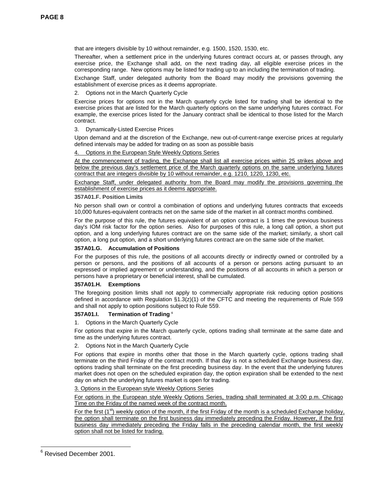that are integers divisible by 10 without remainder, e.g. 1500, 1520, 1530, etc.

Thereafter, when a settlement price in the underlying futures contract occurs at, or passes through, any exercise price, the Exchange shall add, on the next trading day, all eligible exercise prices in the corresponding range. New options may be listed for trading up to an including the termination of trading.

Exchange Staff, under delegated authority from the Board may modify the provisions governing the establishment of exercise prices as it deems appropriate.

2. Options not in the March Quarterly Cycle

Exercise prices for options not in the March quarterly cycle listed for trading shall be identical to the exercise prices that are listed for the March quarterly options on the same underlying futures contract. For example, the exercise prices listed for the January contract shall be identical to those listed for the March contract.

### 3. Dynamically-Listed Exercise Prices

Upon demand and at the discretion of the Exchange, new out-of-current-range exercise prices at regularly defined intervals may be added for trading on as soon as possible basis

# 4. Options in the European Style Weekly Options Series

At the commencement of trading, the Exchange shall list all exercise prices within 25 strikes above and below the previous day's settlement price of the March quarterly options on the same underlying futures contract that are integers divisible by 10 without remainder, e.g. 1210, 1220, 1230, etc.

Exchange Staff, under delegated authority from the Board may modify the provisions governing the establishment of exercise prices as it deems appropriate.

#### **357A01.F. Position Limits**

No person shall own or control a combination of options and underlying futures contracts that exceeds 10,000 futures-equivalent contracts net on the same side of the market in all contract months combined.

For the purpose of this rule, the futures equivalent of an option contract is 1 times the previous business day's IOM risk factor for the option series. Also for purposes of this rule, a long call option, a short put option, and a long underlying futures contract are on the same side of the market; similarly, a short call option, a long put option, and a short underlying futures contract are on the same side of the market.

#### **357A01.G. Accumulation of Positions**

For the purposes of this rule, the positions of all accounts directly or indirectly owned or controlled by a person or persons, and the positions of all accounts of a person or persons acting pursuant to an expressed or implied agreement or understanding, and the positions of all accounts in which a person or persons have a proprietary or beneficial interest, shall be cumulated.

#### **357A01.H. Exemptions**

The foregoing position limits shall not apply to commercially appropriate risk reducing option positions defined in accordance with Regulation  $\S1.3(z)(1)$  of the CFTC and meeting the requirements of Rule 559 and shall not apply to option positions subject to Rule 559.

#### **357A01.I. Termination of Trading 6**

1. Options in the March Quarterly Cycle

For options that expire in the March quarterly cycle, options trading shall terminate at the same date and time as the underlying futures contract.

2. Options Not in the March Quarterly Cycle

For options that expire in months other that those in the March quarterly cycle, options trading shall terminate on the third Friday of the contract month. If that day is not a scheduled Exchange business day, options trading shall terminate on the first preceding business day. In the event that the underlying futures market does not open on the scheduled expiration day, the option expiration shall be extended to the next day on which the underlying futures market is open for trading.

#### 3. Options in the European style Weekly Options Series

For options in the European style Weekly Options Series, trading shall terminated at 3:00 p.m. Chicago Time on the Friday of the named week of the contract month.

For the first  $(1<sup>st</sup>)$  weekly option of the month, if the first Friday of the month is a scheduled Exchange holiday, the option shall terminate on the first business day immediately preceding the Friday. However, if the first business day immediately preceding the Friday falls in the preceding calendar month, the first weekly option shall not be listed for trading.

 6 Revised December 2001.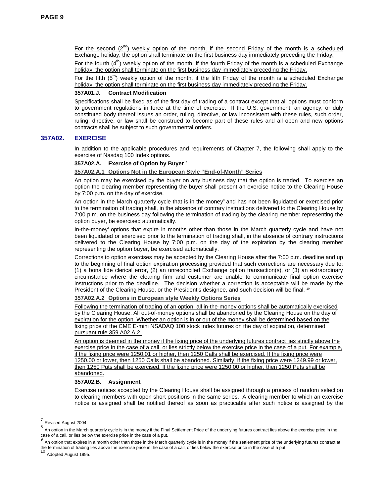For the second  $(2^{nd})$  weekly option of the month, if the second Friday of the month is a scheduled Exchange holiday, the option shall terminate on the first business day immediately preceding the Friday.

For the fourth  $(4^{th})$  weekly option of the month, if the fourth Friday of the month is a scheduled Exchange holiday, the option shall terminate on the first business day immediately preceding the Friday.

For the fifth  $(5<sup>th</sup>)$  weekly option of the month, if the fifth Friday of the month is a scheduled Exchange holiday, the option shall terminate on the first business day immediately preceding the Friday.

#### **357A01.J. Contract Modification**

Specifications shall be fixed as of the first day of trading of a contract except that all options must conform to government regulations in force at the time of exercise. If the U.S. government, an agency, or duly constituted body thereof issues an order, ruling, directive, or law inconsistent with these rules, such order, ruling, directive, or law shall be construed to become part of these rules and all open and new options contracts shall be subject to such governmental orders.

#### **357A02. EXERCISE**

In addition to the applicable procedures and requirements of Chapter 7, the following shall apply to the exercise of Nasdaq 100 Index options.

#### **357A02.A. Exercise of Option by Buyer 7**

#### **357A02.A.1 Options Not in the European Style "End-of-Month" Series**

An option may be exercised by the buyer on any business day that the option is traded. To exercise an option the clearing member representing the buyer shall present an exercise notice to the Clearing House by 7:00 p.m. on the day of exercise.

An option in the March quarterly cycle that is in the money<sup>8</sup> and has not been liquidated or exercised prior to the termination of trading shall, in the absence of contrary instructions delivered to the Clearing House by 7:00 p.m. on the business day following the termination of trading by the clearing member representing the option buyer, be exercised automatically.

In-the-money<sup>9</sup> options that expire in months other than those in the March quarterly cycle and have not been liquidated or exercised prior to the termination of trading shall, in the absence of contrary instructions delivered to the Clearing House by 7:00 p.m. on the day of the expiration by the clearing member representing the option buyer, be exercised automatically.

Corrections to option exercises may be accepted by the Clearing House after the 7:00 p.m. deadline and up to the beginning of final option expiration processing provided that such corrections are necessary due to; (1) a bona fide clerical error, (2) an unreconciled Exchange option transaction(s), or (3) an extraordinary circumstance where the clearing firm and customer are unable to communicate final option exercise instructions prior to the deadline. The decision whether a correction is acceptable will be made by the President of the Clearing House, or the President's designee, and such decision will be final. <sup>10</sup>

#### **357A02.A.2 Options in European style Weekly Options Series**

Following the termination of trading of an option, all in-the-money options shall be automatically exercised by the Clearing House. All out-of-money options shall be abandoned by the Clearing House on the day of expiration for the option. Whether an option is in or out of the money shall be determined based on the fixing price of the CME E-mini NSADAQ 100 stock index futures on the day of expiration, determined pursuant rule 359.A02.A.2.

An option is deemed in the money if the fixing price of the underlying futures contract lies strictly above the exercise price in the case of a call, or lies strictly below the exercise price in the case of a put. For example, if the fixing price were 1250.01 or higher, then 1250 Calls shall be exercised. If the fixing price were 1250.00 or lower, then 1250 Calls shall be abandoned. Similarly, if the fixing price were 1249.99 or lower, then 1250 Puts shall be exercised. If the fixing price were 1250.00 or higher, then 1250 Puts shall be abandoned.

#### **357A02.B. Assignment**

Exercise notices accepted by the Clearing House shall be assigned through a process of random selection to clearing members with open short positions in the same series. A clearing member to which an exercise notice is assigned shall be notified thereof as soon as practicable after such notice is assigned by the

l

 $\frac{7}{8}$  Revised August 2004.

An option in the March quarterly cycle is in the money if the Final Settlement Price of the underlying futures contract lies above the exercise price in the case of a call, or lies below the exercise price in the case of a put.

An option that expires in a month other than those in the March quarterly cycle is in the money if the settlement price of the underlying futures contract at the termination of trading lies above the exercise price in the case of a call, or lies below the exercise price in the case of a put.<br><sup>10</sup> Adopted August 1995.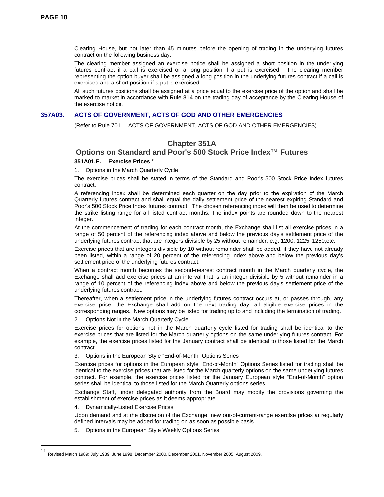Clearing House, but not later than 45 minutes before the opening of trading in the underlying futures contract on the following business day.

The clearing member assigned an exercise notice shall be assigned a short position in the underlying futures contract if a call is exercised or a long position if a put is exercised. The clearing member representing the option buyer shall be assigned a long position in the underlying futures contract if a call is exercised and a short position if a put is exercised.

All such futures positions shall be assigned at a price equal to the exercise price of the option and shall be marked to market in accordance with Rule 814 on the trading day of acceptance by the Clearing House of the exercise notice.

#### **357A03. ACTS OF GOVERNMENT, ACTS OF GOD AND OTHER EMERGENCIES**

(Refer to Rule 701. – ACTS OF GOVERNMENT, ACTS OF GOD AND OTHER EMERGENCIES)

# **Chapter 351A**

# **Options on Standard and Poor's 500 Stock Price Index™ Futures**

#### **351A01.E. Exercise Prices 11**

1. Options in the March Quarterly Cycle

The exercise prices shall be stated in terms of the Standard and Poor's 500 Stock Price Index futures contract.

A referencing index shall be determined each quarter on the day prior to the expiration of the March Quarterly futures contract and shall equal the daily settlement price of the nearest expiring Standard and Poor's 500 Stock Price Index futures contract. The chosen referencing index will then be used to determine the strike listing range for all listed contract months. The index points are rounded down to the nearest integer.

At the commencement of trading for each contract month, the Exchange shall list all exercise prices in a range of 50 percent of the referencing index above and below the previous day's settlement price of the underlying futures contract that are integers divisible by 25 without remainder, e.g. 1200, 1225, 1250,etc.

Exercise prices that are integers divisible by 10 without remainder shall be added, if they have not already been listed, within a range of 20 percent of the referencing index above and below the previous day's settlement price of the underlying futures contract.

When a contract month becomes the second-nearest contract month in the March quarterly cycle, the Exchange shall add exercise prices at an interval that is an integer divisible by 5 without remainder in a range of 10 percent of the referencing index above and below the previous day's settlement price of the underlying futures contract.

Thereafter, when a settlement price in the underlying futures contract occurs at, or passes through, any exercise price, the Exchange shall add on the next trading day, all eligible exercise prices in the corresponding ranges. New options may be listed for trading up to and including the termination of trading.

2. Options Not in the March Quarterly Cycle

Exercise prices for options not in the March quarterly cycle listed for trading shall be identical to the exercise prices that are listed for the March quarterly options on the same underlying futures contract. For example, the exercise prices listed for the January contract shall be identical to those listed for the March contract.

3. Options in the European Style "End-of-Month" Options Series

Exercise prices for options in the European style "End-of-Month" Options Series listed for trading shall be identical to the exercise prices that are listed for the March quarterly options on the same underlying futures contract. For example, the exercise prices listed for the January European style "End-of-Month" option series shall be identical to those listed for the March Quarterly options series.

Exchange Staff, under delegated authority from the Board may modify the provisions governing the establishment of exercise prices as it deems appropriate.

4. Dynamically-Listed Exercise Prices

 $\overline{a}$ 

Upon demand and at the discretion of the Exchange, new out-of-current-range exercise prices at regularly defined intervals may be added for trading on as soon as possible basis.

5. Options in the European Style Weekly Options Series

<sup>11</sup> Revised March 1989; July 1989; June 1998; December 2000, December 2001, November 2005; August 2009.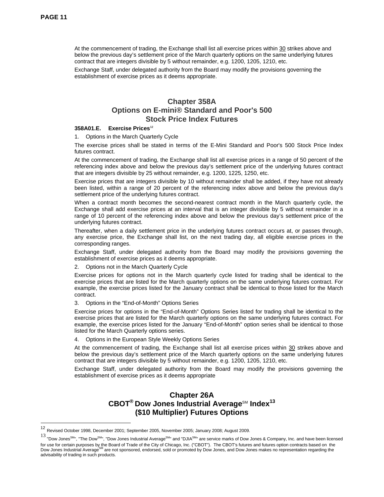$\overline{a}$ 

 At the commencement of trading, the Exchange shall list all exercise prices within 30 strikes above and below the previous day's settlement price of the March quarterly options on the same underlying futures contract that are integers divisible by 5 without remainder, e.g. 1200, 1205, 1210, etc.

 Exchange Staff, under delegated authority from the Board may modify the provisions governing the establishment of exercise prices as it deems appropriate.

# **Chapter 358A Options on E-mini® Standard and Poor's 500 Stock Price Index Futures**

## 358A01.E. Exercise Prices<sup>12</sup>

1. Options in the March Quarterly Cycle

The exercise prices shall be stated in terms of the E-Mini Standard and Poor's 500 Stock Price Index futures contract.

At the commencement of trading, the Exchange shall list all exercise prices in a range of 50 percent of the referencing index above and below the previous day's settlement price of the underlying futures contract that are integers divisible by 25 without remainder, e.g. 1200, 1225, 1250, etc.

Exercise prices that are integers divisible by 10 without remainder shall be added, if they have not already been listed, within a range of 20 percent of the referencing index above and below the previous day's settlement price of the underlying futures contract.

When a contract month becomes the second-nearest contract month in the March quarterly cycle, the Exchange shall add exercise prices at an interval that is an integer divisible by 5 without remainder in a range of 10 percent of the referencing index above and below the previous day's settlement price of the underlying futures contract.

Thereafter, when a daily settlement price in the underlying futures contract occurs at, or passes through, any exercise price, the Exchange shall list, on the next trading day, all eligible exercise prices in the corresponding ranges.

Exchange Staff, under delegated authority from the Board may modify the provisions governing the establishment of exercise prices as it deems appropriate.

2. Options not in the March Quarterly Cycle

Exercise prices for options not in the March quarterly cycle listed for trading shall be identical to the exercise prices that are listed for the March quarterly options on the same underlying futures contract. For example, the exercise prices listed for the January contract shall be identical to those listed for the March contract.

3. Options in the "End-of-Month" Options Series

Exercise prices for options in the "End-of-Month" Options Series listed for trading shall be identical to the exercise prices that are listed for the March quarterly options on the same underlying futures contract. For example, the exercise prices listed for the January "End-of-Month" option series shall be identical to those listed for the March Quarterly options series.

4. Options in the European Style Weekly Options Series

At the commencement of trading, the Exchange shall list all exercise prices within 30 strikes above and below the previous day's settlement price of the March quarterly options on the same underlying futures contract that are integers divisible by 5 without remainder, e.g. 1200, 1205, 1210, etc.

Exchange Staff, under delegated authority from the Board may modify the provisions governing the establishment of exercise prices as it deems appropriate

# **Chapter 26A**  CBOT<sup>®</sup> Dow Jones Industrial Average<sup>SM</sup> Index<sup>13</sup> **(\$10 Multiplier) Futures Options**

<sup>12</sup> Revised October 1998, December 2001; September 2005, November 2005; January 2008; August 2009.

<sup>13 &</sup>quot;Dow Jones<sup>SM</sup>", "The Dow<sup>SM</sup>", "Dow Jones Industrial Average<sup>SM</sup>" and "DJIA<sup>SM</sup>" are service marks of Dow Jones & Company, Inc. and have been licensed for use for certain purposes by the Board of Trade of the City of Chicago, Inc. ("CBOT"). The CBOT's futures and futures option contracts based on the Dow Jones Industrial AverageSM are not sponsored, endorsed, sold or promoted by Dow Jones, and Dow Jones makes no representation regarding the advisability of trading in such products.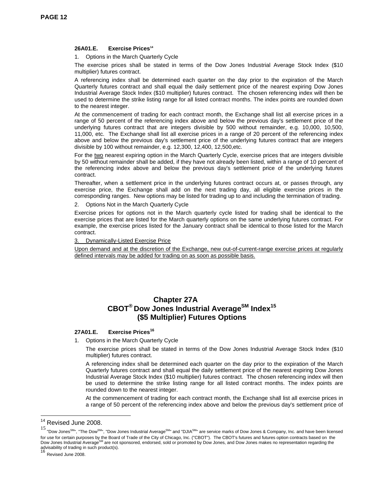#### **26A01.E. Exercise Prices14**

1. Options in the March Quarterly Cycle

The exercise prices shall be stated in terms of the Dow Jones Industrial Average Stock Index (\$10 multiplier) futures contract.

A referencing index shall be determined each quarter on the day prior to the expiration of the March Quarterly futures contract and shall equal the daily settlement price of the nearest expiring Dow Jones Industrial Average Stock Index (\$10 multiplier) futures contract. The chosen referencing index will then be used to determine the strike listing range for all listed contract months. The index points are rounded down to the nearest integer.

At the commencement of trading for each contract month, the Exchange shall list all exercise prices in a range of 50 percent of the referencing index above and below the previous day's settlement price of the underlying futures contract that are integers divisible by 500 without remainder, e.g. 10,000, 10,500, 11,000, etc. The Exchange shall list all exercise prices in a range of 20 percent of the referencing index above and below the previous day's settlement price of the underlying futures contract that are integers divisible by 100 without remainder, e.g. 12,300, 12,400, 12,500,etc.

For the two nearest expiring option in the March Quarterly Cycle, exercise prices that are integers divisible by 50 without remainder shall be added, if they have not already been listed, within a range of 10 percent of the referencing index above and below the previous day's settlement price of the underlying futures contract.

Thereafter, when a settlement price in the underlying futures contract occurs at, or passes through, any exercise price, the Exchange shall add on the next trading day, all eligible exercise prices in the corresponding ranges. New options may be listed for trading up to and including the termination of trading.

#### 2. Options Not in the March Quarterly Cycle

Exercise prices for options not in the March quarterly cycle listed for trading shall be identical to the exercise prices that are listed for the March quarterly options on the same underlying futures contract. For example, the exercise prices listed for the January contract shall be identical to those listed for the March contract.

#### 3. Dynamically-Listed Exercise Price

Upon demand and at the discretion of the Exchange, new out-of-current-range exercise prices at regularly defined intervals may be added for trading on as soon as possible basis.

# **Chapter 27A CBOT® Dow Jones Industrial AverageSM Index15 (\$5 Multiplier) Futures Options**

# **27A01.E. Exercise Prices<sup>16</sup>**

1. Options in the March Quarterly Cycle

The exercise prices shall be stated in terms of the Dow Jones Industrial Average Stock Index (\$10 multiplier) futures contract.

A referencing index shall be determined each quarter on the day prior to the expiration of the March Quarterly futures contract and shall equal the daily settlement price of the nearest expiring Dow Jones Industrial Average Stock Index (\$10 multiplier) futures contract. The chosen referencing index will then be used to determine the strike listing range for all listed contract months. The index points are rounded down to the nearest integer.

At the commencement of trading for each contract month, the Exchange shall list all exercise prices in a range of 50 percent of the referencing index above and below the previous day's settlement price of

l

<sup>&</sup>lt;sup>14</sup> Revised June 2008.

<sup>15 &</sup>quot;Dow Jones<sup>SM</sup>", "The Dow<sup>SM</sup>", "Dow Jones Industrial Average<sup>SM</sup>" and "DJIA<sup>SM</sup>" are service marks of Dow Jones & Company, Inc. and have been licensed for use for certain purposes by the Board of Trade of the City of Chicago, Inc. ("CBOT"). The CBOT's futures and futures option contracts based on the Dow Jones Industrial Average<sup>SM</sup> are not sponsored, endorsed, sold or promoted by Dow Jones, and Dow Jones makes no representation regarding the advisability of trading in such product(s).

Revised June 2008.